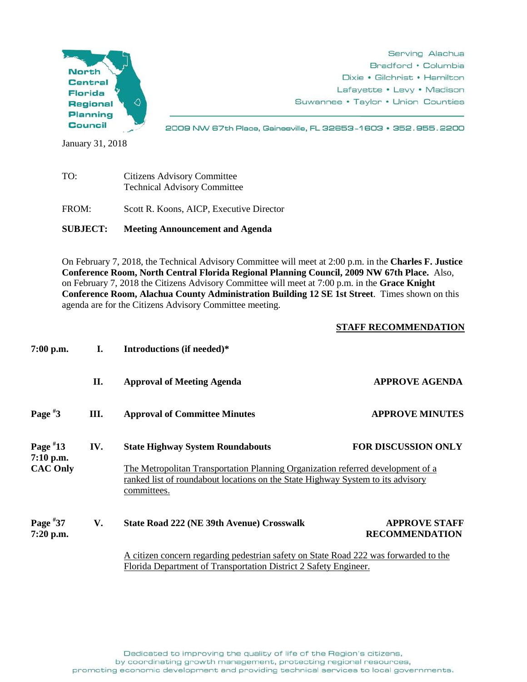

Serving Alachua Bradford • Columbia Dixie • Gilchrist • Hamilton Lafayette • Levy • Madison Suwannee • Taylor • Union Counties

2009 NW 67th Place, Gainesville, FL 32653-1603 · 352.955.2200

January 31, 2018

| TO:   | <b>Citizens Advisory Committee</b><br><b>Technical Advisory Committee</b> |  |
|-------|---------------------------------------------------------------------------|--|
| FROM: | Scott R. Koons, AICP, Executive Director                                  |  |

**SUBJECT: Meeting Announcement and Agenda**

On February 7, 2018, the Technical Advisory Committee will meet at 2:00 p.m. in the **Charles F. Justice Conference Room, North Central Florida Regional Planning Council, 2009 NW 67th Place.** Also, on February 7, 2018 the Citizens Advisory Committee will meet at 7:00 p.m. in the **Grace Knight Conference Room, Alachua County Administration Building 12 SE 1st Street**. Times shown on this agenda are for the Citizens Advisory Committee meeting.

## **STAFF RECOMMENDATION**

| $7:00$ p.m.                                  | Ι.  | Introductions (if needed)*                                                                                                                                                                                                   |                                               |
|----------------------------------------------|-----|------------------------------------------------------------------------------------------------------------------------------------------------------------------------------------------------------------------------------|-----------------------------------------------|
|                                              | П.  | <b>Approval of Meeting Agenda</b>                                                                                                                                                                                            | <b>APPROVE AGENDA</b>                         |
| Page $*3$                                    | Ш.  | <b>Approval of Committee Minutes</b>                                                                                                                                                                                         | <b>APPROVE MINUTES</b>                        |
| Page $*13$<br>$7:10$ p.m.<br><b>CAC Only</b> | IV. | <b>State Highway System Roundabouts</b><br>The Metropolitan Transportation Planning Organization referred development of a<br>ranked list of roundabout locations on the State Highway System to its advisory<br>committees. | <b>FOR DISCUSSION ONLY</b>                    |
| Page $*37$<br>7:20 p.m.                      | V.  | <b>State Road 222 (NE 39th Avenue) Crosswalk</b>                                                                                                                                                                             | <b>APPROVE STAFF</b><br><b>RECOMMENDATION</b> |
|                                              |     | A citizen concern regarding pedestrian safety on State Road 222 was forwarded to the<br>Florida Department of Transportation District 2 Safety Engineer.                                                                     |                                               |